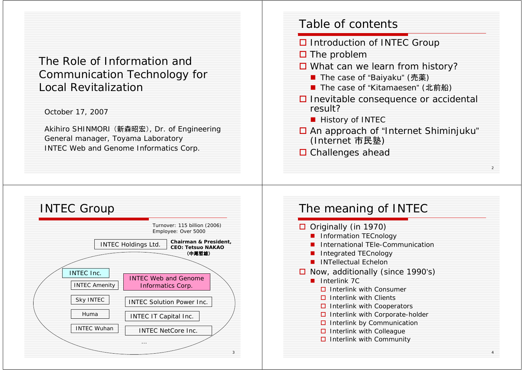The Role of Information and Communication Technology for Local Revitalization

October 17, 2007

Akihiro SHINMORI (新森昭宏), Dr. of Engineering General manager, Toyama Laboratory INTEC Web and Genome Informatics Corp.

## Table of contents

- **□** Introduction of INTEC Group
- $\square$  The problem
- **□** What can we learn from history?
	- The case of "Baiyaku" (売薬)
	- The case of "Kitamaesen" (北前船)
- $\square$  Inevitable consequence or accidental result?
	- **History of INTEC**
- □ An approach of "Internet Shiminjuku" (Internet 市民塾)

 $\overline{\phantom{a}}$ 

□ Challenges ahead



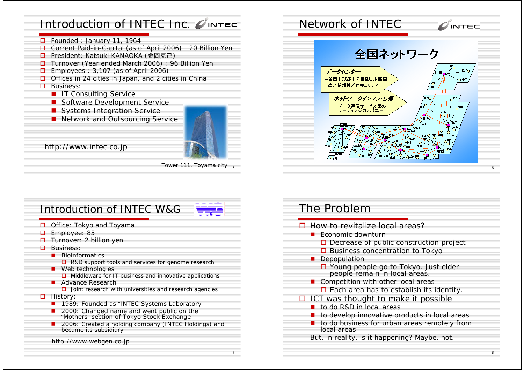# Introduction of INTEC Inc.

- □ Founded : January 11, 1964
- □ Current Paid-in-Capital (as of April 2006) : 20 Billion Yen
- □ President: Katsuki KANAOKA (金岡克己)
- □ Turnover (Year ended March 2006) : 96 Billion Yen
- $\Box$  Employees : 3,107 (as of April 2006)
- Offices in 24 cities in Japan, and 2 cities in China

#### **□** Business:

- **IT Consulting Service**
- **Software Development Service**
- Systems Integration Service
- **Network and Outsourcing Service**



7

http://www.intec.co.jp

#### Tower 111, Toyama city <sub>s</sub>

# Introduction of INTEC W&G

- □ Office: Tokyo and Toyama
- **D** Employee: 85
- □ Turnover: 2 billion yen
- $\square$  Business:
	- **Bioinformatics**  $\Box$  R&D support tools and services for genome research
	- **Neb technologies**  $\square$  Middleware for IT business and innovative applications
	- **Advance Research** 
		- $\square$  Joint research with universities and research agencies
- **D** History:
	- **1989: Founded as "INTEC Systems Laboratory"**
	- 2000: Changed name and went public on the "Mothers" section of Tokyo Stock Exchange
	- 2006: Created a holding company (INTEC Holdings) and became its subsidiary

http://www.webgen.co.jp

# Network of INTEC $\mathbf{C}$  intec 全国ネットワーク データセンター -全国十数都市に自社ビル展開 -高い信頼性/セキュリティ ネットワークインフラ・技術

6

8

# The Problem

- $\square$  How to revitalize local areas?
	- **E** Economic downturn
		- $\square$  Decrease of public construction project
		- $\square$  Business concentration to Tokyo
	- **Depopulation** 
		- **□** Young people go to Tokyo. Just elder people remain in local areas.
	- **Competition with other local areas**  $\Box$  Each area has to establish its identity.
- $\Box$  ICT was thought to make it possible
	- to do R&D in local areas
	- $\blacksquare$  to develop innovative products in local areas
	- $\blacksquare$  to do business for urban areas remotely from local areas
	- But, in reality, is it happening? Maybe, not.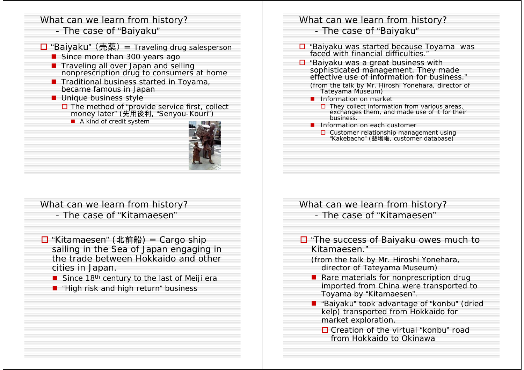# What can we learn from history?

- The case of "Baiyaku"
- □ "Baiyaku" (売薬) = Traveling drug salesperson
	- **Since more than 300 years ago I**
	- **T** Traveling all over Japan and selling nonprescription drug to consumers at home
	- **T** Traditional business started in Toyama, became famous in Japan
	- **Unique business style** 
		- **□** The method of "provide service first, collect money later" (先用後利, "Senyou-Kouri")
			- A kind of credit system



## What can we learn from history? - The case of "Baiyaku"

- □ "Baiyaku was started because Toyama was faced with financial difficulties."
- □ "Baiyaku was a great business with sophisticated management. They made effective use of information for business."
	- (from the talk by Mr. Hiroshi Yonehara, director of Tateyama Museum)
	- **I** Information on market
		- $\square$  They collect information from various areas, exchanges them, and made use of it for their business.
	- **I** Information on each customer
		- $\square$  Customer relationship management using "Kakebacho" (懸場帳, customer database)

What can we learn from history? - The case of "Kitamaesen"

- □ "Kitamaesen" (北前船) = Cargo ship sailing in the Sea of Japan engaging in the trade between Hokkaido and other cities in Japan.
	- Since 18<sup>th</sup> century to the last of Meiji era
	- "High risk and high return" business

What can we learn from history? - The case of "Kitamaesen"

- □ "The success of Baiyaku owes much to Kitamaesen."
	- (from the talk by Mr. Hiroshi Yonehara, director of Tateyama Museum)
	- **Rare materials for nonprescription drug** imported from China were transported to Toyama by "Kitamaesen".
	- "Baiyaku" took advantage of "konbu" (dried kelp) transported from Hokkaido for market exploration.
		- □ Creation of the virtual "konbu" road from Hokkaido to Okinawa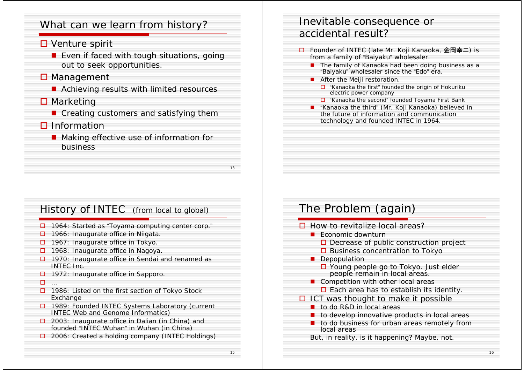## What can we learn from history?

#### **□** Venture spirit

**E** Even if faced with tough situations, going out to seek opportunities.

## **□** Management

■ Achieving results with limited resources

#### **□** Marketing

**E** Creating customers and satisfying them

## **□** Information

**Making effective use of information for** business

# Inevitable consequence or accidental result?

- □ Founder of INTEC (late Mr. Koji Kanaoka, 金岡幸二) is from a family of "Baiyaku" wholesaler.
	- The family of Kanaoka had been doing business as a "Baiyaku" wholesaler since the "Edo" era.
	- **A** After the Meiji restoration,
		- $\Box$  "Kanaoka the first" founded the origin of Hokuriku electric power company
		- □ "Kanaoka the second" founded Toyama First Bank
	- "Kanaoka the third" (Mr. Koji Kanaoka) believed in the future of information and communication technology and founded INTEC in 1964.

## History of INTEC (from local to global)

- $\square$  1964: Started as "Toyama computing center corp."
- $\square$  1966: Inaugurate office in Niigata
- $\Box$  1967: Inaugurate office in Tokyo.
- $\Box$  1968: Inaugurate office in Nagoya.
- $\Box$  1970: Inaugurate office in Sendai and renamed as INTEC Inc.
- $\Box$  1972: Inaugurate office in Sapporo.
- …
- $\Box$  1986: Listed on the first section of Tokyo Stock Exchange
- □ 1989: Founded INTEC Systems Laboratory (current INTEC Web and Genome Informatics)
- $\square$  2003: Inaugurate office in Dalian (in China) and founded "INTEC Wuhan" in Wuhan (in China)
- □ 2006: Created a holding company (INTEC Holdings)

# The Problem (again)

 $\square$  How to revitalize local areas? **E** Economic downturn  $\square$  Decrease of public construction project  $\square$  Business concentration to Tokyo **Depopulation □** Young people go to Tokyo. Just elder people remain in local areas. **Competition with other local areas**  $\Box$  Each area has to establish its identity.  $\Box$  ICT was thought to make it possible ■ to do R&D in local areas  $\blacksquare$  to develop innovative products in local areas  $\blacksquare$  to do business for urban areas remotely from local areasBut, in reality, is it happening? Maybe, not.

16

13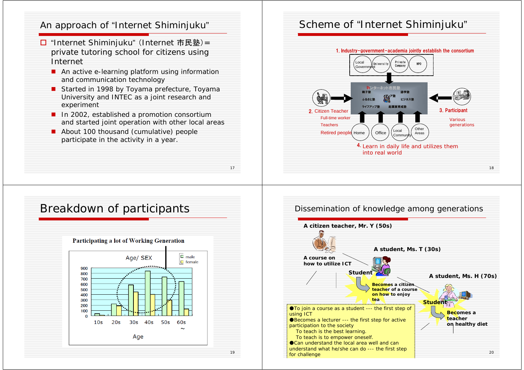#### An approach of "Internet Shiminjuku"

- □ "Internet Shiminjuku" (Internet 市民塾)= private tutoring school for citizens using Internet
	- **An active e-learning platform using information** and communication technology
	- Started in 1998 by Toyama prefecture, Toyama University and INTEC as a joint research and experiment
	- **I** In 2002, established a promotion consortium and started joint operation with other local areas

17

19

About 100 thousand (cumulative) people participate in the activity in a year.

# Breakdown of participants



## Scheme of "Internet Shiminjuku"



#### 20 Dissemination of knowledge among generations **A course onhow to utilize ICTA citizen teacher, Mr. Y (50s) A student, Ms. T (30s) A** student, Ms. H (70s) **Becomes a citize teacher of a course on how to enjoy tea Becomes a teacher on healthy diet Student** ●To join a course as a student --- the first step of using ICT ●Becomes a lecturer --- the first step for active participation to the society To teach is the best learning. To teach is to empower oneself. ●Can understand the local area well and can understand what he/she can do --- the first step for challenge